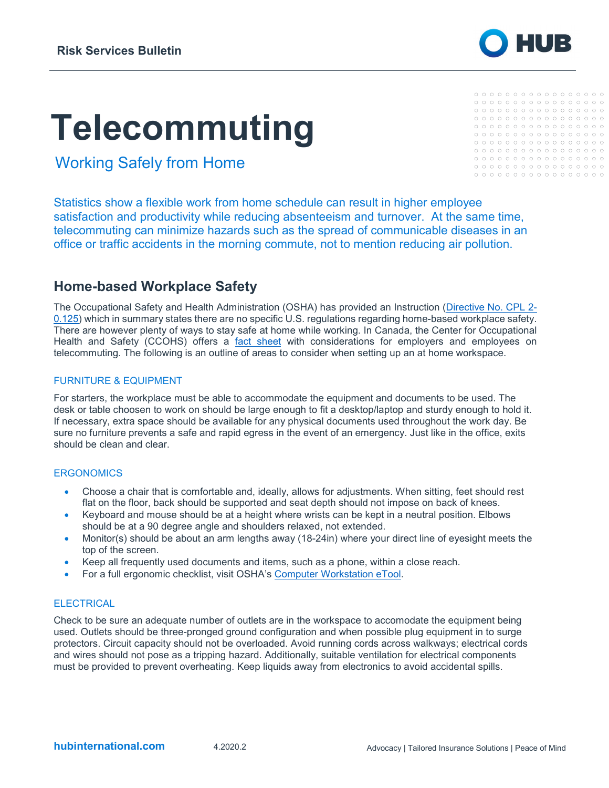# **Telecommuting**

 $0000000000000000000$  $0000000000000000000$ 

 ${\color{red}\mathtt{0}} {\color{red}\mathtt{0}} {\color{red}\mathtt{0}} {\color{red}\mathtt{0}} {\color{red}\mathtt{0}} {\color{red}\mathtt{0}} {\color{red}\mathtt{0}} {\color{red}\mathtt{0}} {\color{red}\mathtt{0}} {\color{red}\mathtt{0}} {\color{red}\mathtt{0}} {\color{red}\mathtt{0}} {\color{red}\mathtt{0}} {\color{red}\mathtt{0}} {\color{red}\mathtt{0}} {\color{red}\mathtt{0}} {\color{red}\mathtt{0}} {\color{red}\mathtt{0}} {\color{red}\mathtt{0}} {\color{red}\mathtt{0}} {\color{red}\mathtt{0}} {\color{red}\mathtt{0}}$ 

Working Safely from Home

Statistics show a flexible work from home schedule can result in higher employee satisfaction and productivity while reducing absenteeism and turnover. At the same time, telecommuting can minimize hazards such as the spread of communicable diseases in an office or traffic accidents in the morning commute, not to mention reducing air pollution.

# **Home-based Workplace Safety**

The Occupational Safety and Health Administration (OSHA) has provided an Instruction [\(Directive No. CPL 2-](https://www.osha.gov/enforcement/directives/cpl-02-00-125) [0.125\)](https://www.osha.gov/enforcement/directives/cpl-02-00-125) which in summary states there are no specific U.S. regulations regarding home-based workplace safety. There are however plenty of ways to stay safe at home while working. In Canada, the Center for Occupational Health and Safety (CCOHS) offers a [fact sheet](https://www.ccohs.ca/oshanswers/hsprograms/telework.html) with considerations for employers and employees on telecommuting. The following is an outline of areas to consider when setting up an at home workspace.

# FURNITURE & EQUIPMENT

For starters, the workplace must be able to accommodate the equipment and documents to be used. The desk or table choosen to work on should be large enough to fit a desktop/laptop and sturdy enough to hold it. If necessary, extra space should be available for any physical documents used throughout the work day. Be sure no furniture prevents a safe and rapid egress in the event of an emergency. Just like in the office, exits should be clean and clear.

## **ERGONOMICS**

- Choose a chair that is comfortable and, ideally, allows for adjustments. When sitting, feet should rest flat on the floor, back should be supported and seat depth should not impose on back of knees.
- Keyboard and mouse should be at a height where wrists can be kept in a neutral position. Elbows should be at a 90 degree angle and shoulders relaxed, not extended.
- Monitor(s) should be about an arm lengths away (18-24in) where your direct line of eyesight meets the top of the screen.
- Keep all frequently used documents and items, such as a phone, within a close reach.
- For a full ergonomic checklist, visit OSHA's [Computer Workstation eTool.](https://www.osha.gov/SLTC/etools/computerworkstations/checklist_evaluation.html)

## **ELECTRICAL**

Check to be sure an adequate number of outlets are in the workspace to accomodate the equipment being used. Outlets should be three-pronged ground configuration and when possible plug equipment in to surge protectors. Circuit capacity should not be overloaded. Avoid running cords across walkways; electrical cords and wires should not pose as a tripping hazard. Additionally, suitable ventilation for electrical components must be provided to prevent overheating. Keep liquids away from electronics to avoid accidental spills.